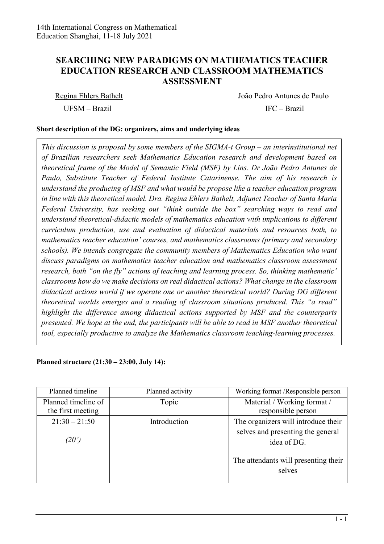## **SEARCHING NEW PARADIGMS ON MATHEMATICS TEACHER EDUCATION RESEARCH AND CLASSROOM MATHEMATICS ASSESSMENT**

Regina Ehlers Bathelt João Pedro Antunes de Paulo UFSM – Brazil IFC – Brazil

## **Short description of the DG: organizers, aims and underlying ideas**

*This discussion is proposal by some members of the SIGMA-t Group – an interinstitutional net of Brazilian researchers seek Mathematics Education research and development based on theoretical frame of the Model of Semantic Field (MSF) by Lins. Dr João Pedro Antunes de Paulo, Substitute Teacher of Federal Institute Catarinense. The aim of his research is understand the producing of MSF and what would be propose like a teacher education program in line with this theoretical model. Dra. Regina Ehlers Bathelt, Adjunct Teacher of Santa Maria Federal University, has seeking out "think outside the box" searching ways to read and understand theoretical-didactic models of mathematics education with implications to different curriculum production, use and evaluation of didactical materials and resources both, to mathematics teacher education' courses, and mathematics classrooms (primary and secondary schools). We intends congregate the community members of Mathematics Education who want discuss paradigms on mathematics teacher education and mathematics classroom assessment research, both "on the fly" actions of teaching and learning process. So, thinking mathematic' classrooms how do we make decisions on real didactical actions? What change in the classroom didactical actions world if we operate one or another theoretical world? During DG different theoretical worlds emerges and a reading of classroom situations produced. This "a read" highlight the difference among didactical actions supported by MSF and the counterparts presented. We hope at the end, the participants will be able to read in MSF another theoretical tool, especially productive to analyze the Mathematics classroom teaching-learning processes.*

**Planned structure (21:30 – 23:00, July 14):**

| Planned timeline    | Planned activity | Working format /Responsible person               |
|---------------------|------------------|--------------------------------------------------|
| Planned timeline of | Topic            | Material / Working format /                      |
| the first meeting   |                  | responsible person                               |
| $21:30 - 21:50$     | Introduction     | The organizers will introduce their              |
| (20')               |                  | selves and presenting the general<br>idea of DG. |
|                     |                  | The attendants will presenting their<br>selves   |